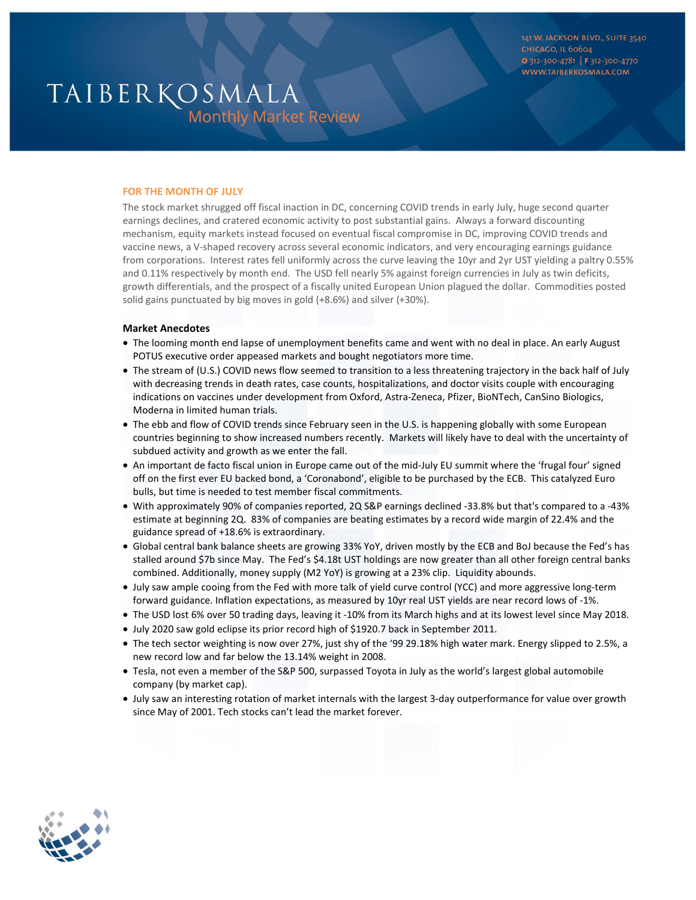141 W. JACKSON BLVD., SUITE 3540 **CHICAGO, IL 60604** 0 312-300-4781 | F 312-300-4770 WWW.TAIBERKOSMALA.COM

# TAIBERKOSMALA **Monthly Market Review**

## **FOR THE MONTH OF JULY**

The stock market shrugged off fiscal inaction in DC, concerning COVID trends in early July, huge second quarter earnings declines, and cratered economic activity to post substantial gains. Always a forward discounting mechanism, equity markets instead focused on eventual fiscal compromise in DC, improving COVID trends and vaccine news, a V-shaped recovery across several economic indicators, and very encouraging earnings guidance from corporations. Interest rates fell uniformly across the curve leaving the 10yr and 2yr UST yielding a paltry 0.55% and 0.11% respectively by month end. The USD fell nearly 5% against foreign currencies in July as twin deficits, growth differentials, and the prospect of a fiscally united European Union plagued the dollar. Commodities posted solid gains punctuated by big moves in gold (+8.6%) and silver (+30%).

### **Market Anecdotes**

- The looming month end lapse of unemployment benefits came and went with no deal in place. An early August POTUS executive order appeased markets and bought negotiators more time.
- The stream of (U.S.) COVID news flow seemed to transition to a less threatening trajectory in the back half of July with decreasing trends in death rates, case counts, hospitalizations, and doctor visits couple with encouraging indications on vaccines under development from Oxford, Astra-Zeneca, Pfizer, BioNTech, CanSino Biologics, Moderna in limited human trials.
- The ebb and flow of COVID trends since February seen in the U.S. is happening globally with some European countries beginning to show increased numbers recently. Markets will likely have to deal with the uncertainty of subdued activity and growth as we enter the fall.
- An important de facto fiscal union in Europe came out of the mid-July EU summit where the 'frugal four' signed off on the first ever EU backed bond, a 'Coronabond', eligible to be purchased by the ECB. This catalyzed Euro bulls, but time is needed to test member fiscal commitments.
- With approximately 90% of companies reported, 2Q S&P earnings declined -33.8% but that's compared to a -43% estimate at beginning 2Q. 83% of companies are beating estimates by a record wide margin of 22.4% and the guidance spread of +18.6% is extraordinary.
- Global central bank balance sheets are growing 33% YoY, driven mostly by the ECB and BoJ because the Fed's has stalled around \$7b since May. The Fed's \$4.18t UST holdings are now greater than all other foreign central banks combined. Additionally, money supply (M2 YoY) is growing at a 23% clip. Liquidity abounds.
- July saw ample cooing from the Fed with more talk of yield curve control (YCC) and more aggressive long-term forward guidance. Inflation expectations, as measured by 10yr real UST yields are near record lows of -1%.
- The USD lost 6% over 50 trading days, leaving it -10% from its March highs and at its lowest level since May 2018.
- July 2020 saw gold eclipse its prior record high of \$1920.7 back in September 2011.
- The tech sector weighting is now over 27%, just shy of the '99 29.18% high water mark. Energy slipped to 2.5%, a new record low and far below the 13.14% weight in 2008.
- Tesla, not even a member of the S&P 500, surpassed Toyota in July as the world's largest global automobile company (by market cap).
- July saw an interesting rotation of market internals with the largest 3-day outperformance for value over growth since May of 2001. Tech stocks can't lead the market forever.

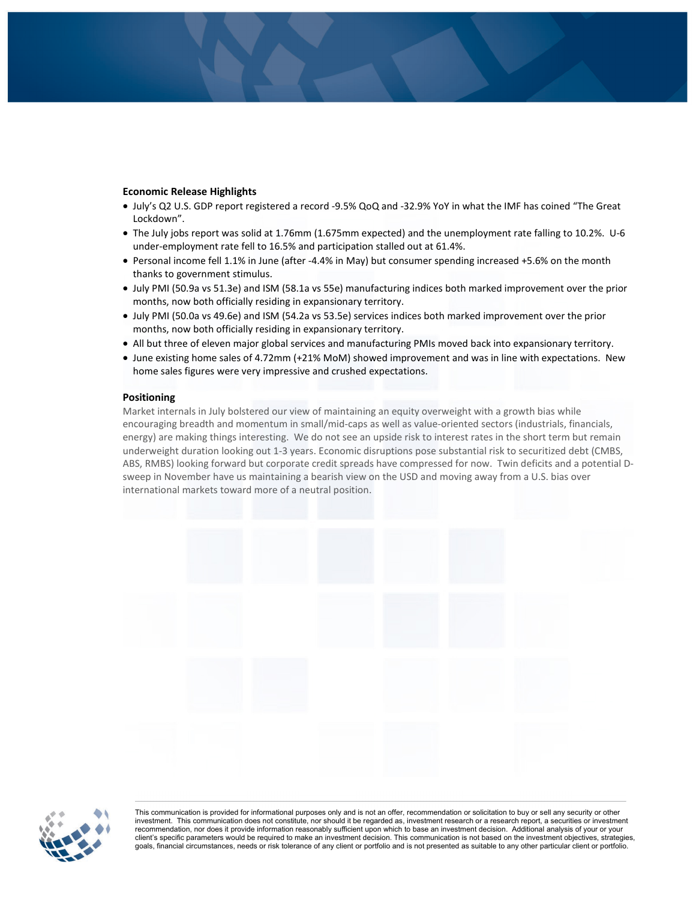# **Economic Release Highlights**

- July's Q2 U.S. GDP report registered a record -9.5% QoQ and -32.9% YoY in what the IMF has coined "The Great Lockdown".
- The July jobs report was solid at 1.76mm (1.675mm expected) and the unemployment rate falling to 10.2%. U-6 under-employment rate fell to 16.5% and participation stalled out at 61.4%.
- Personal income fell 1.1% in June (after -4.4% in May) but consumer spending increased +5.6% on the month thanks to government stimulus.
- July PMI (50.9a vs 51.3e) and ISM (58.1a vs 55e) manufacturing indices both marked improvement over the prior months, now both officially residing in expansionary territory.
- July PMI (50.0a vs 49.6e) and ISM (54.2a vs 53.5e) services indices both marked improvement over the prior months, now both officially residing in expansionary territory.
- All but three of eleven major global services and manufacturing PMIs moved back into expansionary territory.
- June existing home sales of 4.72mm (+21% MoM) showed improvement and was in line with expectations. New home sales figures were very impressive and crushed expectations.

#### **Positioning**

Market internals in July bolstered our view of maintaining an equity overweight with a growth bias while encouraging breadth and momentum in small/mid-caps as well as value-oriented sectors (industrials, financials, energy) are making things interesting. We do not see an upside risk to interest rates in the short term but remain underweight duration looking out 1-3 years. Economic disruptions pose substantial risk to securitized debt (CMBS, ABS, RMBS) looking forward but corporate credit spreads have compressed for now. Twin deficits and a potential Dsweep in November have us maintaining a bearish view on the USD and moving away from a U.S. bias over international markets toward more of a neutral position.





investment. This communication does not constitute, nor should it be regarded as, investment research or a research report, a securities or investment recommendation, nor does it provide information reasonably sufficient upon which to base an investment decision. Additional analysis of your or your client's specific parameters would be required to make an investment decision. This communication is not based on the investment objectives, strategies, goals, financial circumstances, needs or risk tolerance of any client or portfolio and is not presented as suitable to any other particular client or portfolio.